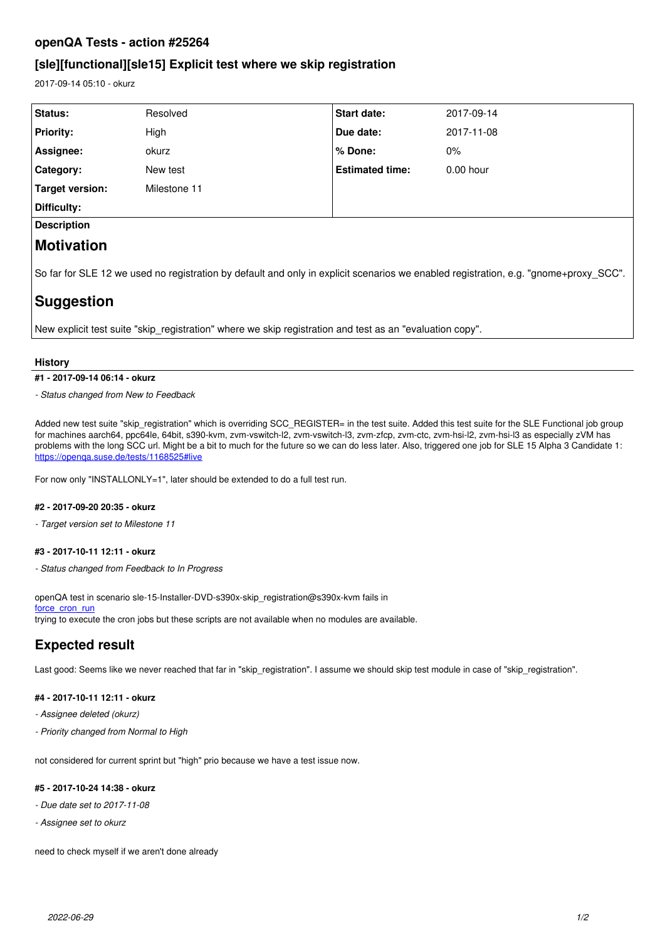## **openQA Tests - action #25264**

## **[sle][functional][sle15] Explicit test where we skip registration**

2017-09-14 05:10 - okurz

| Status:                                                                                                                              | Resolved     | <b>Start date:</b>     | 2017-09-14  |
|--------------------------------------------------------------------------------------------------------------------------------------|--------------|------------------------|-------------|
| <b>Priority:</b>                                                                                                                     | High         | Due date:              | 2017-11-08  |
| Assignee:                                                                                                                            | okurz        | % Done:                | $0\%$       |
| <b>Category:</b>                                                                                                                     | New test     | <b>Estimated time:</b> | $0.00$ hour |
| Target version:                                                                                                                      | Milestone 11 |                        |             |
| Difficulty:                                                                                                                          |              |                        |             |
| <b>Description</b>                                                                                                                   |              |                        |             |
| Motivation                                                                                                                           |              |                        |             |
| So far for SLE 12 we used no registration by default and only in explicit scenarios we enabled registration, e.g. "gnome+proxy_SCC". |              |                        |             |
| Suggestion                                                                                                                           |              |                        |             |
|                                                                                                                                      |              |                        |             |

New explicit test suite "skip registration" where we skip registration and test as an "evaluation copy".

#### **History**

**#1 - 2017-09-14 06:14 - okurz**

*- Status changed from New to Feedback*

Added new test suite "skip\_registration" which is overriding SCC\_REGISTER= in the test suite. Added this test suite for the SLE Functional job group for machines aarch64, ppc64le, 64bit, s390-kvm, zvm-vswitch-l2, zvm-vswitch-l3, zvm-zfcp, zvm-ctc, zvm-hsi-l2, zvm-hsi-l3 as especially zVM has problems with the long SCC url. Might be a bit to much for the future so we can do less later. Also, triggered one job for SLE 15 Alpha 3 Candidate 1: <https://openqa.suse.de/tests/1168525#live>

For now only "INSTALLONLY=1", later should be extended to do a full test run.

#### **#2 - 2017-09-20 20:35 - okurz**

*- Target version set to Milestone 11*

#### **#3 - 2017-10-11 12:11 - okurz**

*- Status changed from Feedback to In Progress*

openQA test in scenario sle-15-Installer-DVD-s390x-skip\_registration@s390x-kvm fails in [force\\_cron\\_run](https://openqa.suse.de/tests/1208362/modules/force_cron_run/steps/6) trying to execute the cron jobs but these scripts are not available when no modules are available.

# **Expected result**

Last good: Seems like we never reached that far in "skip\_registration". I assume we should skip test module in case of "skip\_registration".

#### **#4 - 2017-10-11 12:11 - okurz**

- *Assignee deleted (okurz)*
- *Priority changed from Normal to High*

not considered for current sprint but "high" prio because we have a test issue now.

### **#5 - 2017-10-24 14:38 - okurz**

- *Due date set to 2017-11-08*
- *Assignee set to okurz*

need to check myself if we aren't done already